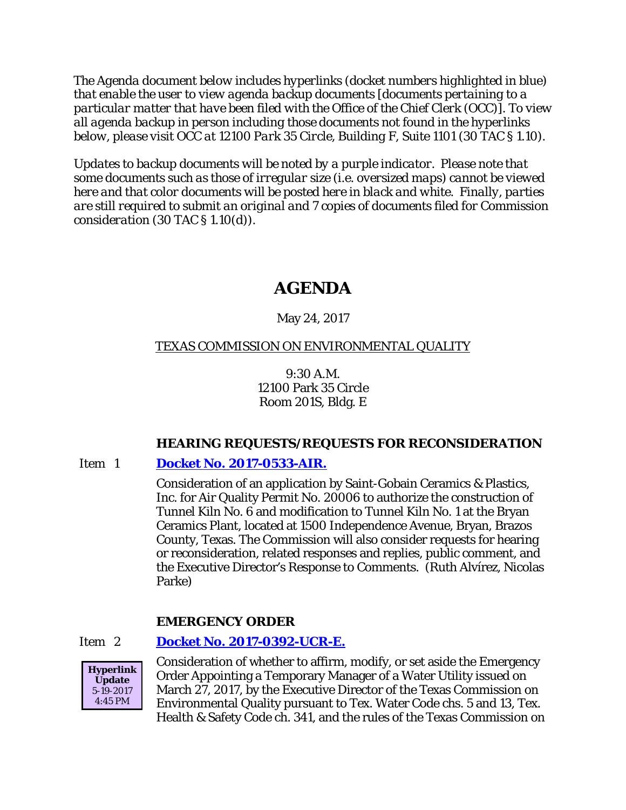*The Agenda document below includes hyperlinks (docket numbers highlighted in blue) that enable the user to view agenda backup documents [documents pertaining to a particular matter that have been filed with the Office of the Chief Clerk (OCC)]. To view all agenda backup in person including those documents not found in the hyperlinks below, please visit OCC at 12100 Park 35 Circle, Building F, Suite 1101 (30 TAC § 1.10).*

*Updates to backup documents will be noted by a purple indicator. Please note that some documents such as those of irregular size (i.e. oversized maps) cannot be viewed here and that color documents will be posted here in black and white. Finally, parties are still required to submit an original and 7 copies of documents filed for Commission consideration (30 TAC § 1.10(d)).*

# **AGENDA**

# May 24, 2017

# TEXAS COMMISSION ON ENVIRONMENTAL QUALITY

9:30 A.M. 12100 Park 35 Circle Room 201S, Bldg. E

# **HEARING REQUESTS/REQUESTS FOR RECONSIDERATION**

# Item 1 **[Docket No. 2017-0533-AIR.](http://www.tceq.texas.gov/assets/public/comm_exec/agendas/comm/backup/Agendas/2017/05-24-2017/saint.pdf)**

Consideration of an application by Saint-Gobain Ceramics & Plastics, Inc. for Air Quality Permit No. 20006 to authorize the construction of Tunnel Kiln No. 6 and modification to Tunnel Kiln No. 1 at the Bryan Ceramics Plant, located at 1500 Independence Avenue, Bryan, Brazos County, Texas. The Commission will also consider requests for hearing or reconsideration, related responses and replies, public comment, and the Executive Director's Response to Comments. (Ruth Alvírez, Nicolas Parke)

# **EMERGENCY ORDER**

# Item 2 **[Docket No. 2017-0392-UCR-E.](http://www.tceq.texas.gov/assets/public/comm_exec/agendas/comm/backup/Agendas/2017/05-24-2017/0392UCR.pdf)**



Consideration of whether to affirm, modify, or set aside the Emergency Order Appointing a Temporary Manager of a Water Utility issued on March 27, 2017, by the Executive Director of the Texas Commission on Environmental Quality pursuant to Tex. Water Code chs. 5 and 13, Tex. Health & Safety Code ch. 341, and the rules of the Texas Commission on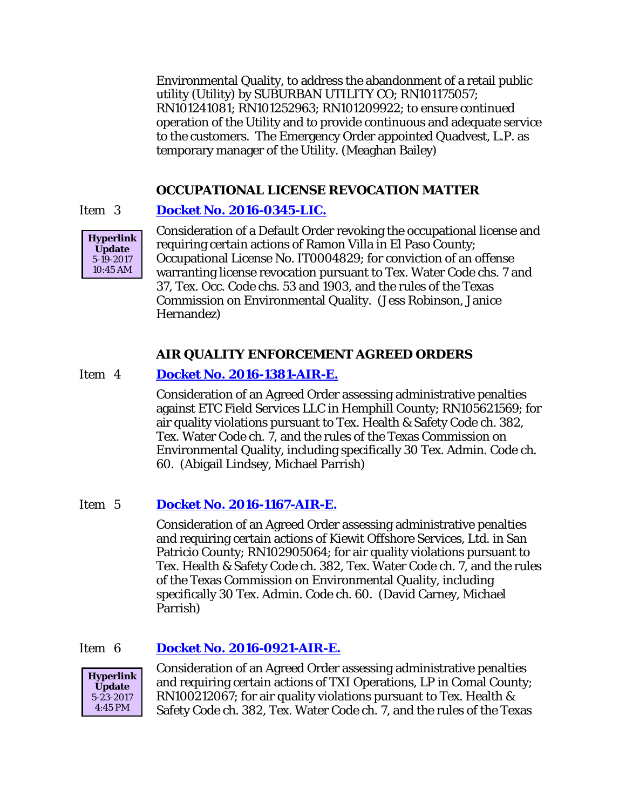Environmental Quality, to address the abandonment of a retail public utility (Utility) by SUBURBAN UTILITY CO; RN101175057; RN101241081; RN101252963; RN101209922; to ensure continued operation of the Utility and to provide continuous and adequate service to the customers. The Emergency Order appointed Quadvest, L.P. as temporary manager of the Utility. (Meaghan Bailey)

# **OCCUPATIONAL LICENSE REVOCATION MATTER**

# Item 3 **[Docket No. 2016-0345-LIC.](http://www.tceq.texas.gov/assets/public/comm_exec/agendas/comm/backup/Agendas/2017/05-24-2017/0345LIC.pdf)**



Consideration of a Default Order revoking the occupational license and requiring certain actions of Ramon Villa in El Paso County; Occupational License No. IT0004829; for conviction of an offense warranting license revocation pursuant to Tex. Water Code chs. 7 and 37, Tex. Occ. Code chs. 53 and 1903, and the rules of the Texas Commission on Environmental Quality. (Jess Robinson, Janice Hernandez)

# **AIR QUALITY ENFORCEMENT AGREED ORDERS**

# Item 4 **[Docket No. 2016-1381-AIR-E.](http://www.tceq.texas.gov/assets/public/comm_exec/agendas/comm/backup/Agendas/2017/05-24-2017/1381AIR.pdf)**

Consideration of an Agreed Order assessing administrative penalties against ETC Field Services LLC in Hemphill County; RN105621569; for air quality violations pursuant to Tex. Health & Safety Code ch. 382, Tex. Water Code ch. 7, and the rules of the Texas Commission on Environmental Quality, including specifically 30 Tex. Admin. Code ch. 60. (Abigail Lindsey, Michael Parrish)

# Item 5 **[Docket No. 2016-1167-AIR-E.](http://www.tceq.texas.gov/assets/public/comm_exec/agendas/comm/backup/Agendas/2017/05-24-2017/1167AIR.pdf)**

Consideration of an Agreed Order assessing administrative penalties and requiring certain actions of Kiewit Offshore Services, Ltd. in San Patricio County; RN102905064; for air quality violations pursuant to Tex. Health & Safety Code ch. 382, Tex. Water Code ch. 7, and the rules of the Texas Commission on Environmental Quality, including specifically 30 Tex. Admin. Code ch. 60. (David Carney, Michael Parrish)

#### Item 6 **[Docket No. 2016-0921-AIR-E.](http://www.tceq.texas.gov/assets/public/comm_exec/agendas/comm/backup/Agendas/2017/05-24-2017/0921AIR.pdf)**



Consideration of an Agreed Order assessing administrative penalties and requiring certain actions of TXI Operations, LP in Comal County; RN100212067; for air quality violations pursuant to Tex. Health & Safety Code ch. 382, Tex. Water Code ch. 7, and the rules of the Texas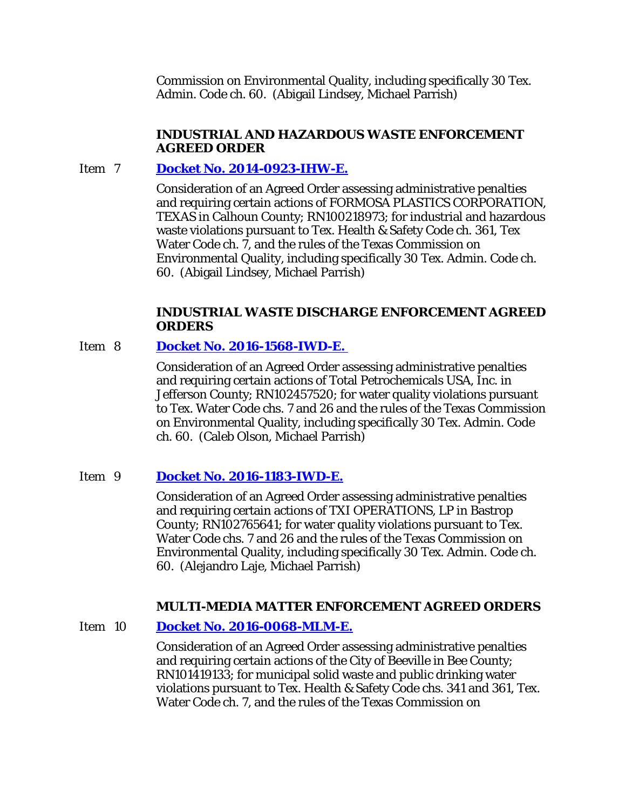Commission on Environmental Quality, including specifically 30 Tex. Admin. Code ch. 60. (Abigail Lindsey, Michael Parrish)

# **INDUSTRIAL AND HAZARDOUS WASTE ENFORCEMENT AGREED ORDER**

# Item 7 **[Docket No. 2014-0923-IHW-E.](http://www.tceq.texas.gov/assets/public/comm_exec/agendas/comm/backup/Agendas/2017/05-24-2017/0923IHW.pdf)**

Consideration of an Agreed Order assessing administrative penalties and requiring certain actions of FORMOSA PLASTICS CORPORATION, TEXAS in Calhoun County; RN100218973; for industrial and hazardous waste violations pursuant to Tex. Health & Safety Code ch. 361, Tex Water Code ch. 7, and the rules of the Texas Commission on Environmental Quality, including specifically 30 Tex. Admin. Code ch. 60. (Abigail Lindsey, Michael Parrish)

### **INDUSTRIAL WASTE DISCHARGE ENFORCEMENT AGREED ORDERS**

# Item 8 **[Docket No. 2016-1568-IWD-E.](http://www.tceq.texas.gov/assets/public/comm_exec/agendas/comm/backup/Agendas/2017/05-24-2017/1568IWD.pdf)**

Consideration of an Agreed Order assessing administrative penalties and requiring certain actions of Total Petrochemicals USA, Inc. in Jefferson County; RN102457520; for water quality violations pursuant to Tex. Water Code chs. 7 and 26 and the rules of the Texas Commission on Environmental Quality, including specifically 30 Tex. Admin. Code ch. 60. (Caleb Olson, Michael Parrish)

# Item 9 **[Docket No. 2016-1183-IWD-E.](http://www.tceq.texas.gov/assets/public/comm_exec/agendas/comm/backup/Agendas/2017/05-24-2017/1183IWD.pdf)**

Consideration of an Agreed Order assessing administrative penalties and requiring certain actions of TXI OPERATIONS, LP in Bastrop County; RN102765641; for water quality violations pursuant to Tex. Water Code chs. 7 and 26 and the rules of the Texas Commission on Environmental Quality, including specifically 30 Tex. Admin. Code ch. 60. (Alejandro Laje, Michael Parrish)

# **MULTI-MEDIA MATTER ENFORCEMENT AGREED ORDERS**

# Item 10 **[Docket No. 2016-0068-MLM-E.](http://www.tceq.texas.gov/assets/public/comm_exec/agendas/comm/backup/Agendas/2017/05-24-2017/0068MLM.pdf)**

Consideration of an Agreed Order assessing administrative penalties and requiring certain actions of the City of Beeville in Bee County; RN101419133; for municipal solid waste and public drinking water violations pursuant to Tex. Health & Safety Code chs. 341 and 361, Tex. Water Code ch. 7, and the rules of the Texas Commission on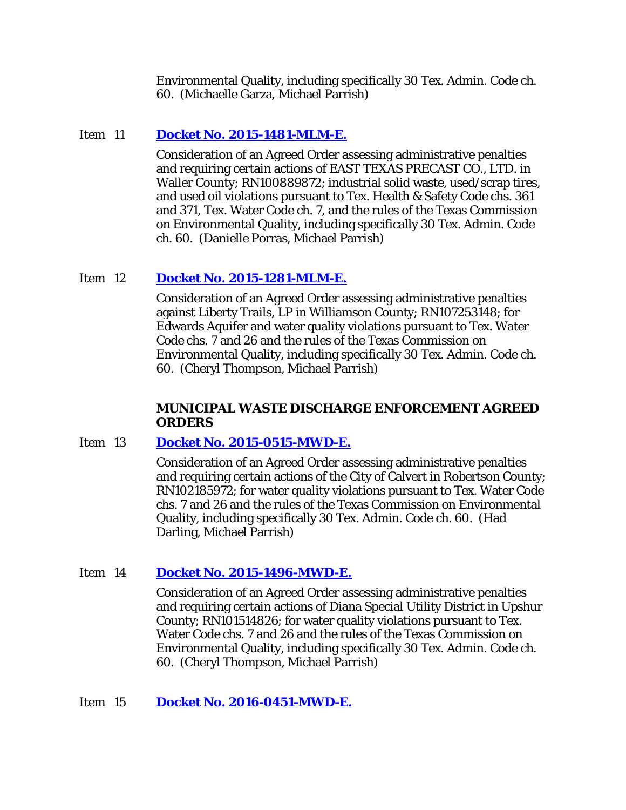Environmental Quality, including specifically 30 Tex. Admin. Code ch. 60. (Michaelle Garza, Michael Parrish)

# Item 11 **[Docket No. 2015-1481-MLM-E.](http://www.tceq.texas.gov/assets/public/comm_exec/agendas/comm/backup/Agendas/2017/05-24-2017/1481MLM.pdf)**

Consideration of an Agreed Order assessing administrative penalties and requiring certain actions of EAST TEXAS PRECAST CO., LTD. in Waller County; RN100889872; industrial solid waste, used/scrap tires, and used oil violations pursuant to Tex. Health & Safety Code chs. 361 and 371, Tex. Water Code ch. 7, and the rules of the Texas Commission on Environmental Quality, including specifically 30 Tex. Admin. Code ch. 60. (Danielle Porras, Michael Parrish)

# Item 12 **[Docket No. 2015-1281-MLM-E.](http://www.tceq.texas.gov/assets/public/comm_exec/agendas/comm/backup/Agendas/2017/05-24-2017/1281MLM.pdf)**

Consideration of an Agreed Order assessing administrative penalties against Liberty Trails, LP in Williamson County; RN107253148; for Edwards Aquifer and water quality violations pursuant to Tex. Water Code chs. 7 and 26 and the rules of the Texas Commission on Environmental Quality, including specifically 30 Tex. Admin. Code ch. 60. (Cheryl Thompson, Michael Parrish)

# **MUNICIPAL WASTE DISCHARGE ENFORCEMENT AGREED ORDERS**

# Item 13 **[Docket No. 2015-0515-MWD-E.](http://www.tceq.texas.gov/assets/public/comm_exec/agendas/comm/backup/Agendas/2017/05-24-2017/0515MWD.pdf)**

Consideration of an Agreed Order assessing administrative penalties and requiring certain actions of the City of Calvert in Robertson County; RN102185972; for water quality violations pursuant to Tex. Water Code chs. 7 and 26 and the rules of the Texas Commission on Environmental Quality, including specifically 30 Tex. Admin. Code ch. 60. (Had Darling, Michael Parrish)

# Item 14 **[Docket No. 2015-1496-MWD-E.](http://www.tceq.texas.gov/assets/public/comm_exec/agendas/comm/backup/Agendas/2017/05-24-2017/1496MWD.pdf)**

Consideration of an Agreed Order assessing administrative penalties and requiring certain actions of Diana Special Utility District in Upshur County; RN101514826; for water quality violations pursuant to Tex. Water Code chs. 7 and 26 and the rules of the Texas Commission on Environmental Quality, including specifically 30 Tex. Admin. Code ch. 60. (Cheryl Thompson, Michael Parrish)

# Item 15 **[Docket No. 2016-0451-MWD-E.](http://www.tceq.texas.gov/assets/public/comm_exec/agendas/comm/backup/Agendas/2017/05-24-2017/0451MWD.pdf)**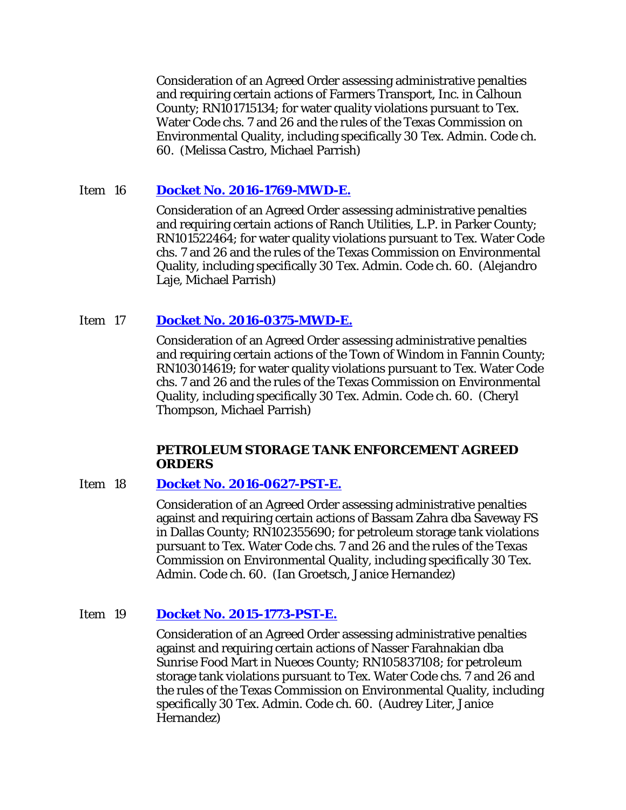Consideration of an Agreed Order assessing administrative penalties and requiring certain actions of Farmers Transport, Inc. in Calhoun County; RN101715134; for water quality violations pursuant to Tex. Water Code chs. 7 and 26 and the rules of the Texas Commission on Environmental Quality, including specifically 30 Tex. Admin. Code ch. 60. (Melissa Castro, Michael Parrish)

### Item 16 **[Docket No. 2016-1769-MWD-E.](http://www.tceq.texas.gov/assets/public/comm_exec/agendas/comm/backup/Agendas/2017/05-24-2017/1769MWD.pdf)**

Consideration of an Agreed Order assessing administrative penalties and requiring certain actions of Ranch Utilities, L.P. in Parker County; RN101522464; for water quality violations pursuant to Tex. Water Code chs. 7 and 26 and the rules of the Texas Commission on Environmental Quality, including specifically 30 Tex. Admin. Code ch. 60. (Alejandro Laje, Michael Parrish)

### Item 17 **[Docket No. 2016-0375-MWD-E.](http://www.tceq.texas.gov/assets/public/comm_exec/agendas/comm/backup/Agendas/2017/05-24-2017/0375MWD.pdf)**

Consideration of an Agreed Order assessing administrative penalties and requiring certain actions of the Town of Windom in Fannin County; RN103014619; for water quality violations pursuant to Tex. Water Code chs. 7 and 26 and the rules of the Texas Commission on Environmental Quality, including specifically 30 Tex. Admin. Code ch. 60. (Cheryl Thompson, Michael Parrish)

### **PETROLEUM STORAGE TANK ENFORCEMENT AGREED ORDERS**

#### Item 18 **[Docket No. 2016-0627-PST-E.](http://www.tceq.texas.gov/assets/public/comm_exec/agendas/comm/backup/Agendas/2017/05-24-2017/0627PST.pdf)**

Consideration of an Agreed Order assessing administrative penalties against and requiring certain actions of Bassam Zahra dba Saveway FS in Dallas County; RN102355690; for petroleum storage tank violations pursuant to Tex. Water Code chs. 7 and 26 and the rules of the Texas Commission on Environmental Quality, including specifically 30 Tex. Admin. Code ch. 60. (Ian Groetsch, Janice Hernandez)

### Item 19 **[Docket No. 2015-1773-PST-E.](http://www.tceq.texas.gov/assets/public/comm_exec/agendas/comm/backup/Agendas/2017/05-24-2017/1773PST.pdf)**

Consideration of an Agreed Order assessing administrative penalties against and requiring certain actions of Nasser Farahnakian dba Sunrise Food Mart in Nueces County; RN105837108; for petroleum storage tank violations pursuant to Tex. Water Code chs. 7 and 26 and the rules of the Texas Commission on Environmental Quality, including specifically 30 Tex. Admin. Code ch. 60. (Audrey Liter, Janice Hernandez)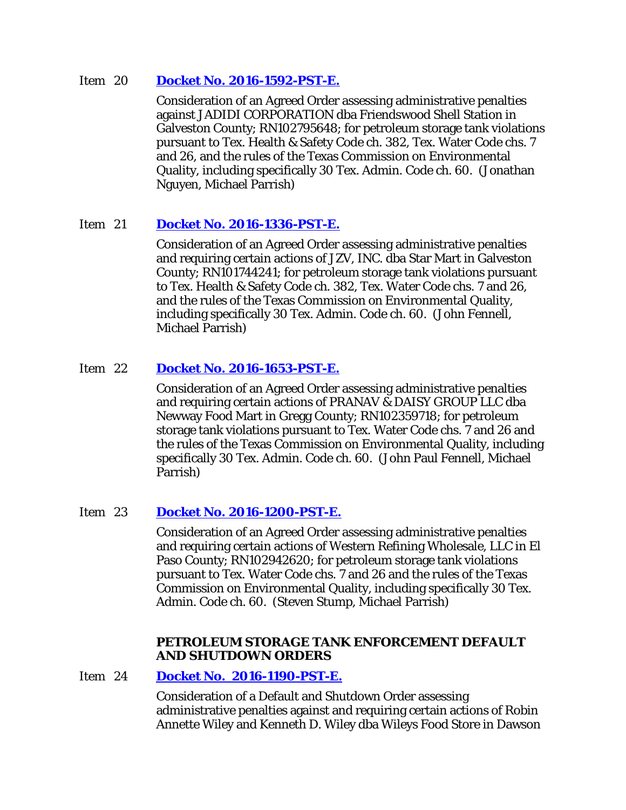### Item 20 **[Docket No. 2016-1592-PST-E.](http://www.tceq.texas.gov/assets/public/comm_exec/agendas/comm/backup/Agendas/2017/05-24-2017/1592PST.pdf)**

Consideration of an Agreed Order assessing administrative penalties against JADIDI CORPORATION dba Friendswood Shell Station in Galveston County; RN102795648; for petroleum storage tank violations pursuant to Tex. Health & Safety Code ch. 382, Tex. Water Code chs. 7 and 26, and the rules of the Texas Commission on Environmental Quality, including specifically 30 Tex. Admin. Code ch. 60. (Jonathan Nguyen, Michael Parrish)

# Item 21 **[Docket No. 2016-1336-PST-E.](http://www.tceq.texas.gov/assets/public/comm_exec/agendas/comm/backup/Agendas/2017/05-24-2017/1336PST.pdf)**

Consideration of an Agreed Order assessing administrative penalties and requiring certain actions of JZV, INC. dba Star Mart in Galveston County; RN101744241; for petroleum storage tank violations pursuant to Tex. Health & Safety Code ch. 382, Tex. Water Code chs. 7 and 26, and the rules of the Texas Commission on Environmental Quality, including specifically 30 Tex. Admin. Code ch. 60. (John Fennell, Michael Parrish)

# Item 22 **[Docket No. 2016-1653-PST-E.](http://www.tceq.texas.gov/assets/public/comm_exec/agendas/comm/backup/Agendas/2017/05-24-2017/1653PST.pdf)**

Consideration of an Agreed Order assessing administrative penalties and requiring certain actions of PRANAV & DAISY GROUP LLC dba Newway Food Mart in Gregg County; RN102359718; for petroleum storage tank violations pursuant to Tex. Water Code chs. 7 and 26 and the rules of the Texas Commission on Environmental Quality, including specifically 30 Tex. Admin. Code ch. 60. (John Paul Fennell, Michael Parrish)

# Item 23 **[Docket No. 2016-1200-PST-E.](http://www.tceq.texas.gov/assets/public/comm_exec/agendas/comm/backup/Agendas/2017/05-24-2017/1200PST.pdf)**

Consideration of an Agreed Order assessing administrative penalties and requiring certain actions of Western Refining Wholesale, LLC in El Paso County; RN102942620; for petroleum storage tank violations pursuant to Tex. Water Code chs. 7 and 26 and the rules of the Texas Commission on Environmental Quality, including specifically 30 Tex. Admin. Code ch. 60. (Steven Stump, Michael Parrish)

#### **PETROLEUM STORAGE TANK ENFORCEMENT DEFAULT AND SHUTDOWN ORDERS**

Item 24 **[Docket No. 2016-1190-PST-E.](http://www.tceq.texas.gov/assets/public/comm_exec/agendas/comm/backup/Agendas/2017/05-24-2017/1190PST.pdf)** 

Consideration of a Default and Shutdown Order assessing administrative penalties against and requiring certain actions of Robin Annette Wiley and Kenneth D. Wiley dba Wileys Food Store in Dawson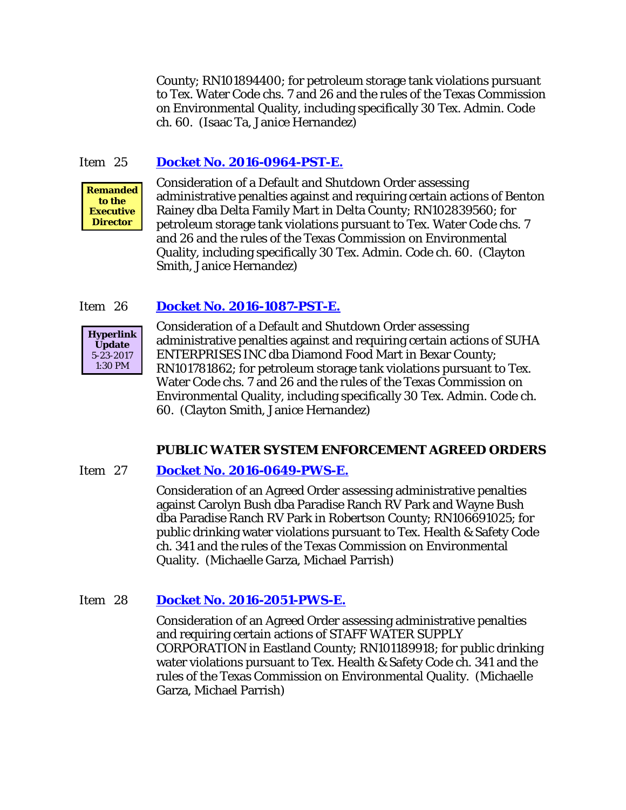County; RN101894400; for petroleum storage tank violations pursuant to Tex. Water Code chs. 7 and 26 and the rules of the Texas Commission on Environmental Quality, including specifically 30 Tex. Admin. Code ch. 60. (Isaac Ta, Janice Hernandez)

# Item 25 **[Docket No. 2016-0964-PST-E.](http://www.tceq.texas.gov/assets/public/comm_exec/agendas/comm/backup/Agendas/2017/05-24-2017/0964PST.pdf)**



Consideration of a Default and Shutdown Order assessing administrative penalties against and requiring certain actions of Benton Rainey dba Delta Family Mart in Delta County; RN102839560; for petroleum storage tank violations pursuant to Tex. Water Code chs. 7 and 26 and the rules of the Texas Commission on Environmental Quality, including specifically 30 Tex. Admin. Code ch. 60. (Clayton Smith, Janice Hernandez)

# Item 26 **[Docket No. 2016-1087-PST-E.](http://www.tceq.texas.gov/assets/public/comm_exec/agendas/comm/backup/Agendas/2017/05-24-2017/1087PST.pdf)**



Consideration of a Default and Shutdown Order assessing administrative penalties against and requiring certain actions of SUHA ENTERPRISES INC dba Diamond Food Mart in Bexar County; RN101781862; for petroleum storage tank violations pursuant to Tex. Water Code chs. 7 and 26 and the rules of the Texas Commission on Environmental Quality, including specifically 30 Tex. Admin. Code ch. 60. (Clayton Smith, Janice Hernandez)

#### **PUBLIC WATER SYSTEM ENFORCEMENT AGREED ORDERS**

#### Item 27 **[Docket No. 2016-0649-PWS-E.](http://www.tceq.texas.gov/assets/public/comm_exec/agendas/comm/backup/Agendas/2017/05-24-2017/0649PWS.pdf)**

Consideration of an Agreed Order assessing administrative penalties against Carolyn Bush dba Paradise Ranch RV Park and Wayne Bush dba Paradise Ranch RV Park in Robertson County; RN106691025; for public drinking water violations pursuant to Tex. Health & Safety Code ch. 341 and the rules of the Texas Commission on Environmental Quality. (Michaelle Garza, Michael Parrish)

# Item 28 **[Docket No. 2016-2051-PWS-E.](http://www.tceq.texas.gov/assets/public/comm_exec/agendas/comm/backup/Agendas/2017/05-24-2017/2051PWS.pdf)**

Consideration of an Agreed Order assessing administrative penalties and requiring certain actions of STAFF WATER SUPPLY CORPORATION in Eastland County; RN101189918; for public drinking water violations pursuant to Tex. Health & Safety Code ch. 341 and the rules of the Texas Commission on Environmental Quality. (Michaelle Garza, Michael Parrish)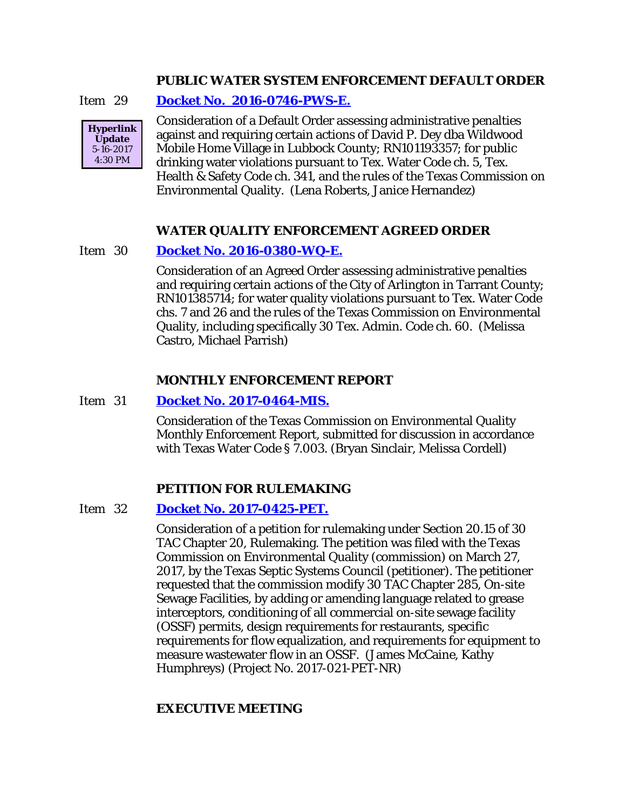### **PUBLIC WATER SYSTEM ENFORCEMENT DEFAULT ORDER**

Item 29 **[Docket No. 2016-0746-PWS-E.](http://www.tceq.texas.gov/assets/public/comm_exec/agendas/comm/backup/Agendas/2017/05-24-2017/0746PWS.pdf)**



Consideration of a Default Order assessing administrative penalties against and requiring certain actions of David P. Dey dba Wildwood Mobile Home Village in Lubbock County; RN101193357; for public drinking water violations pursuant to Tex. Water Code ch. 5, Tex. Health & Safety Code ch. 341, and the rules of the Texas Commission on Environmental Quality. (Lena Roberts, Janice Hernandez)

# **WATER QUALITY ENFORCEMENT AGREED ORDER**

### Item 30 **[Docket No. 2016-0380-WQ-E.](http://www.tceq.texas.gov/assets/public/comm_exec/agendas/comm/backup/Agendas/2017/05-24-2017/0380WQ.pdf)**

Consideration of an Agreed Order assessing administrative penalties and requiring certain actions of the City of Arlington in Tarrant County; RN101385714; for water quality violations pursuant to Tex. Water Code chs. 7 and 26 and the rules of the Texas Commission on Environmental Quality, including specifically 30 Tex. Admin. Code ch. 60. (Melissa Castro, Michael Parrish)

#### **MONTHLY ENFORCEMENT REPORT**

#### Item 31 **[Docket No. 2017-0464-MIS.](http://www.tceq.texas.gov/assets/public/comm_exec/agendas/comm/backup/Agendas/2017/05-24-2017/0464MIS.pdf)**

Consideration of the Texas Commission on Environmental Quality Monthly Enforcement Report, submitted for discussion in accordance with Texas Water Code § 7.003. (Bryan Sinclair, Melissa Cordell)

#### **PETITION FOR RULEMAKING**

### Item 32 **[Docket No. 2017-0425-PET.](http://www.tceq.texas.gov/assets/public/comm_exec/agendas/comm/backup/Agendas/2017/05-24-2017/0425PET.pdf)**

Consideration of a petition for rulemaking under Section 20.15 of 30 TAC Chapter 20, Rulemaking. The petition was filed with the Texas Commission on Environmental Quality (commission) on March 27, 2017, by the Texas Septic Systems Council (petitioner). The petitioner requested that the commission modify 30 TAC Chapter 285, On-site Sewage Facilities, by adding or amending language related to grease interceptors, conditioning of all commercial on-site sewage facility (OSSF) permits, design requirements for restaurants, specific requirements for flow equalization, and requirements for equipment to measure wastewater flow in an OSSF. (James McCaine, Kathy Humphreys) (Project No. 2017-021-PET-NR)

#### **EXECUTIVE MEETING**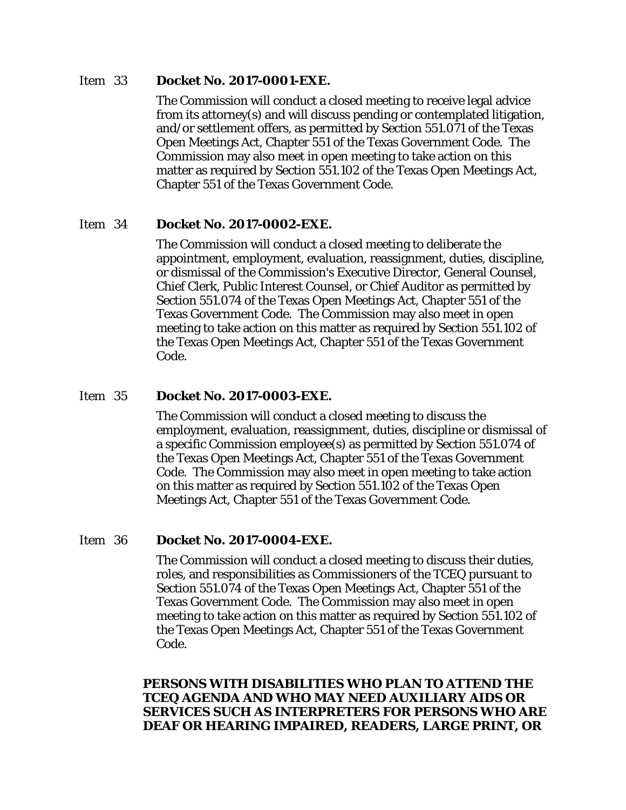#### Item 33 **Docket No. 2017-0001-EXE.**

The Commission will conduct a closed meeting to receive legal advice from its attorney(s) and will discuss pending or contemplated litigation, and/or settlement offers, as permitted by Section 551.071 of the Texas Open Meetings Act, Chapter 551 of the Texas Government Code. The Commission may also meet in open meeting to take action on this matter as required by Section 551.102 of the Texas Open Meetings Act, Chapter 551 of the Texas Government Code.

# Item 34 **Docket No. 2017-0002-EXE.**

The Commission will conduct a closed meeting to deliberate the appointment, employment, evaluation, reassignment, duties, discipline, or dismissal of the Commission's Executive Director, General Counsel, Chief Clerk, Public Interest Counsel, or Chief Auditor as permitted by Section 551.074 of the Texas Open Meetings Act, Chapter 551 of the Texas Government Code. The Commission may also meet in open meeting to take action on this matter as required by Section 551.102 of the Texas Open Meetings Act, Chapter 551 of the Texas Government Code.

# Item 35 **Docket No. 2017-0003-EXE.**

The Commission will conduct a closed meeting to discuss the employment, evaluation, reassignment, duties, discipline or dismissal of a specific Commission employee(s) as permitted by Section 551.074 of the Texas Open Meetings Act, Chapter 551 of the Texas Government Code. The Commission may also meet in open meeting to take action on this matter as required by Section 551.102 of the Texas Open Meetings Act, Chapter 551 of the Texas Government Code.

# Item 36 **Docket No. 2017-0004-EXE.**

The Commission will conduct a closed meeting to discuss their duties, roles, and responsibilities as Commissioners of the TCEQ pursuant to Section 551.074 of the Texas Open Meetings Act, Chapter 551 of the Texas Government Code. The Commission may also meet in open meeting to take action on this matter as required by Section 551.102 of the Texas Open Meetings Act, Chapter 551 of the Texas Government Code.

# **PERSONS WITH DISABILITIES WHO PLAN TO ATTEND THE TCEQ AGENDA AND WHO MAY NEED AUXILIARY AIDS OR SERVICES SUCH AS INTERPRETERS FOR PERSONS WHO ARE DEAF OR HEARING IMPAIRED, READERS, LARGE PRINT, OR**